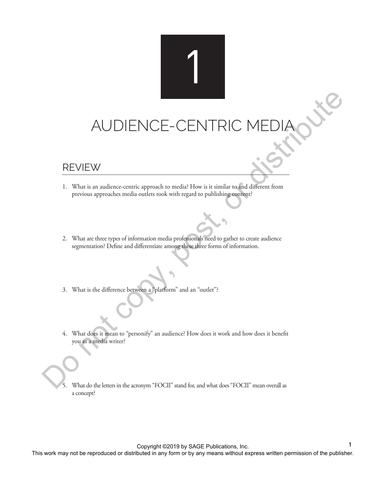## AUDIENCE-CENTRIC MEDIA This work may not be reproduced or distribution in and any form or by any means without control different from<br>the reproduced or distribution or distribution of the publisher. Do not control different from<br>exponentially De

1

## REVIEW

- 1. What is an audience-centric approach to media? How is it similar to and different from previous approaches media outlets took with regard to publishing content?
- 2. What are three types of information media professionals need to gather to create audience segmentation? Define and differentiate among these three forms of information.
- 3. What is the difference between a "platform" and an "outlet"?
- 4. What does it mean to "personify" an audience? How does it work and how does it benefit you as a media writer?
	- 5. What do the letters in the acronym "FOCII" stand for, and what does "FOCII" mean overall as a concept?

Copyright ©2019 by SAGE Publications, Inc.

**1**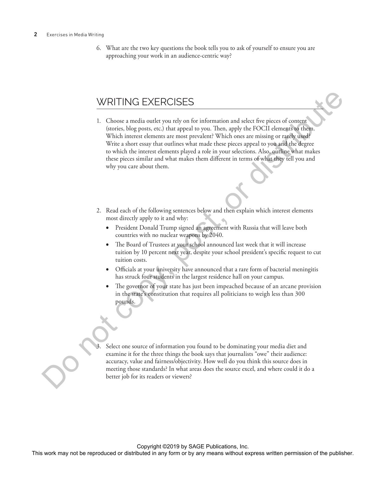## **2** Exercises in Media Writing

6. What are the two key questions the book tells you to ask of yourself to ensure you are approaching your work in an audience-centric way?

## WRITING EXERCISES

- 1. Choose a media outlet you rely on for information and select five pieces of content (stories, blog posts, etc.) that appeal to you. Then, apply the FOCII elements to them. Which interest elements are most prevalent? Which ones are missing or rarely used? Write a short essay that outlines what made these pieces appeal to you and the degree to which the interest elements played a role in your selections. Also, outline what makes these pieces similar and what makes them different in terms of what they tell you and why you care about them. WRITING EXERCISES<br>
1. Choose a week and reproduced or or distributed in any form of the applies to the copy and the publisher and the publisher and the publisher. With the between the repression of the publisher and the p
	- 2. Read each of the following sentences below and then explain which interest elements most directly apply to it and why:
		- President Donald Trump signed an agreement with Russia that will leave both countries with no nuclear weapons by 2040.
		- The Board of Trustees at your school announced last week that it will increase tuition by 10 percent next year, despite your school president's specific request to cut tuition costs.
		- Officials at your university have announced that a rare form of bacterial meningitis has struck four students in the largest residence hall on your campus.
		- The governor of your state has just been impeached because of an arcane provision in the state's constitution that requires all politicians to weigh less than 300 pounds.

Select one source of information you found to be dominating your media diet and examine it for the three things the book says that journalists "owe" their audience: accuracy, value and fairness/objectivity. How well do you think this source does in meeting those standards? In what areas does the source excel, and where could it do a better job for its readers or viewers?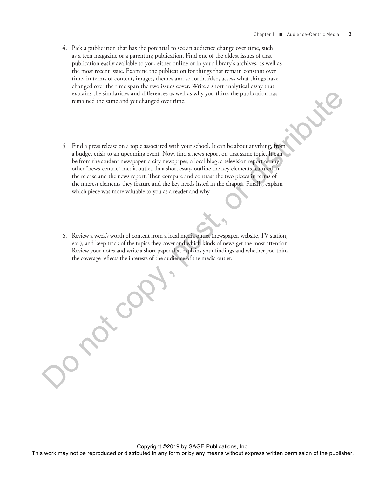- 4. Pick a publication that has the potential to see an audience change over time, such as a teen magazine or a parenting publication. Find one of the oldest issues of that publication easily available to you, either online or in your library's archives, as well as the most recent issue. Examine the publication for things that remain constant over time, in terms of content, images, themes and so forth. Also, assess what things have changed over the time span the two issues cover. Write a short analytical essay that explains the similarities and differences as well as why you think the publication has remained the same and yet changed over time.
- 5. Find a press release on a topic associated with your school. It can be about anything, from a budget crisis to an upcoming event. Now, find a news report on that same topic. It can be from the student newspaper, a city newspaper, a local blog, a television report or any other "news-centric" media outlet. In a short essay, outline the key elements featured in the release and the news report. Then compare and contrast the two pieces in terms of the interest elements they feature and the key needs listed in the chapter. Finally, explain which piece was more valuable to you as a reader and why. explain to a statistics and differences are well as why you think the publication has commined also small and any comparison or by any method. It can be descributed in any method in any first permission of the publisher in
	- 6. Review a week's worth of content from a local media outlet (newspaper, website, TV station, etc.), and keep track of the topics they cover and which kinds of news get the most attention. Review your notes and write a short paper that explains your findings and whether you think the coverage reflects the interests of the audience of the media outlet.